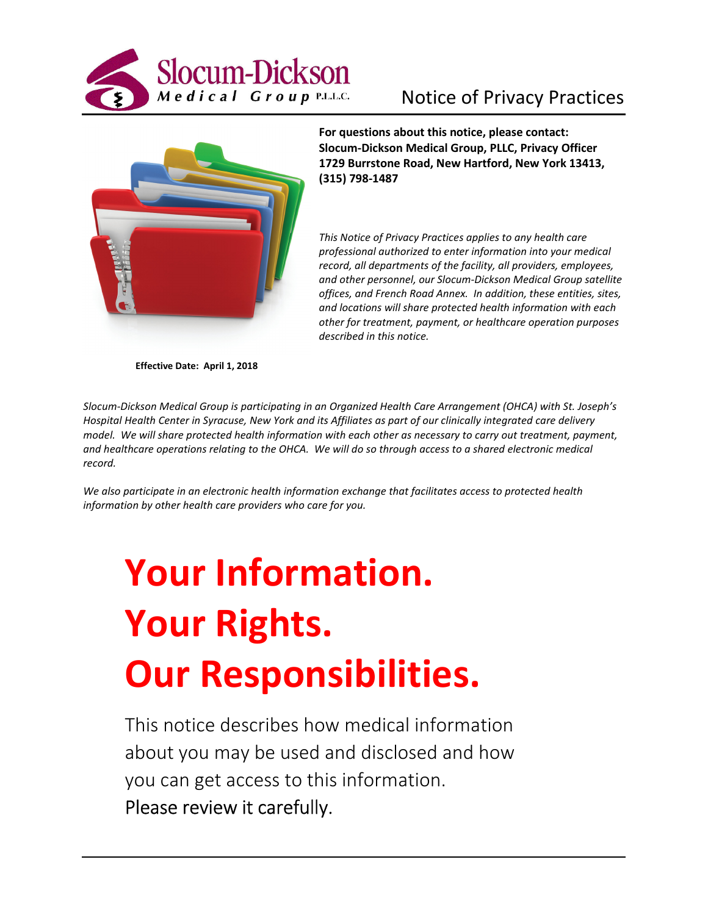



**For questions about this notice, please contact: Slocum-Dickson Medical Group, PLLC, Privacy Officer 1729 Burrstone Road, New Hartford, New York 13413, (315) 798-1487** 

*This Notice of Privacy Practices applies to any health care professional authorized to enter information into your medical record, all departments of the facility, all providers, employees, and other personnel, our Slocum-Dickson Medical Group satellite offices, and French Road Annex. In addition, these entities, sites, and locations will share protected health information with each other for treatment, payment, or healthcare operation purposes described in this notice.* 

**Effective Date: April 1, 2018** 

*Slocum-Dickson Medical Group is participating in an Organized Health Care Arrangement (OHCA) with St. Joseph's Hospital Health Center in Syracuse, New York and its Affiliates as part of our clinically integrated care delivery model. We will share protected health information with each other as necessary to carry out treatment, payment, and healthcare operations relating to the OHCA. We will do so through access to a shared electronic medical record.* 

*We also participate in an electronic health information exchange that facilitates access to protected health information by other health care providers who care for you.* 

# **Your Information. Your Rights. Our Responsibilities.**

This notice describes how medical information about you may be used and disclosed and how you can get access to this information. Please review it carefully.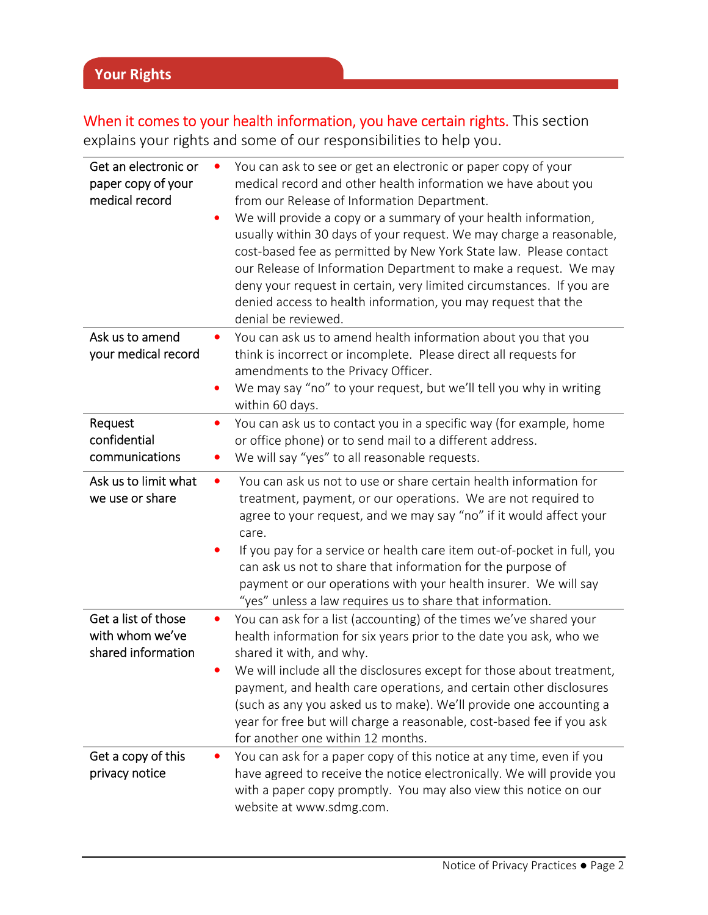Ī

When it comes to your health information, you have certain rights. This section explains your rights and some of our responsibilities to help you.

| Get an electronic or<br>paper copy of your<br>medical record | You can ask to see or get an electronic or paper copy of your<br>medical record and other health information we have about you<br>from our Release of Information Department.<br>We will provide a copy or a summary of your health information,<br>usually within 30 days of your request. We may charge a reasonable,<br>cost-based fee as permitted by New York State law. Please contact<br>our Release of Information Department to make a request. We may<br>deny your request in certain, very limited circumstances. If you are<br>denied access to health information, you may request that the<br>denial be reviewed. |
|--------------------------------------------------------------|---------------------------------------------------------------------------------------------------------------------------------------------------------------------------------------------------------------------------------------------------------------------------------------------------------------------------------------------------------------------------------------------------------------------------------------------------------------------------------------------------------------------------------------------------------------------------------------------------------------------------------|
| Ask us to amend<br>your medical record                       | You can ask us to amend health information about you that you<br>think is incorrect or incomplete. Please direct all requests for<br>amendments to the Privacy Officer.<br>We may say "no" to your request, but we'll tell you why in writing<br>within 60 days.                                                                                                                                                                                                                                                                                                                                                                |
| Request<br>confidential<br>communications                    | You can ask us to contact you in a specific way (for example, home<br>$\bullet$<br>or office phone) or to send mail to a different address.<br>We will say "yes" to all reasonable requests.                                                                                                                                                                                                                                                                                                                                                                                                                                    |
| Ask us to limit what<br>we use or share                      | You can ask us not to use or share certain health information for<br>$\bullet$<br>treatment, payment, or our operations. We are not required to<br>agree to your request, and we may say "no" if it would affect your<br>care.<br>If you pay for a service or health care item out-of-pocket in full, you<br>can ask us not to share that information for the purpose of<br>payment or our operations with your health insurer. We will say<br>"yes" unless a law requires us to share that information.                                                                                                                        |
| Get a list of those<br>with whom we've<br>shared information | You can ask for a list (accounting) of the times we've shared your<br>health information for six years prior to the date you ask, who we<br>shared it with, and why.<br>We will include all the disclosures except for those about treatment,<br>payment, and health care operations, and certain other disclosures<br>(such as any you asked us to make). We'll provide one accounting a<br>year for free but will charge a reasonable, cost-based fee if you ask<br>for another one within 12 months.                                                                                                                         |
| Get a copy of this<br>privacy notice                         | You can ask for a paper copy of this notice at any time, even if you<br>have agreed to receive the notice electronically. We will provide you<br>with a paper copy promptly. You may also view this notice on our<br>website at www.sdmg.com.                                                                                                                                                                                                                                                                                                                                                                                   |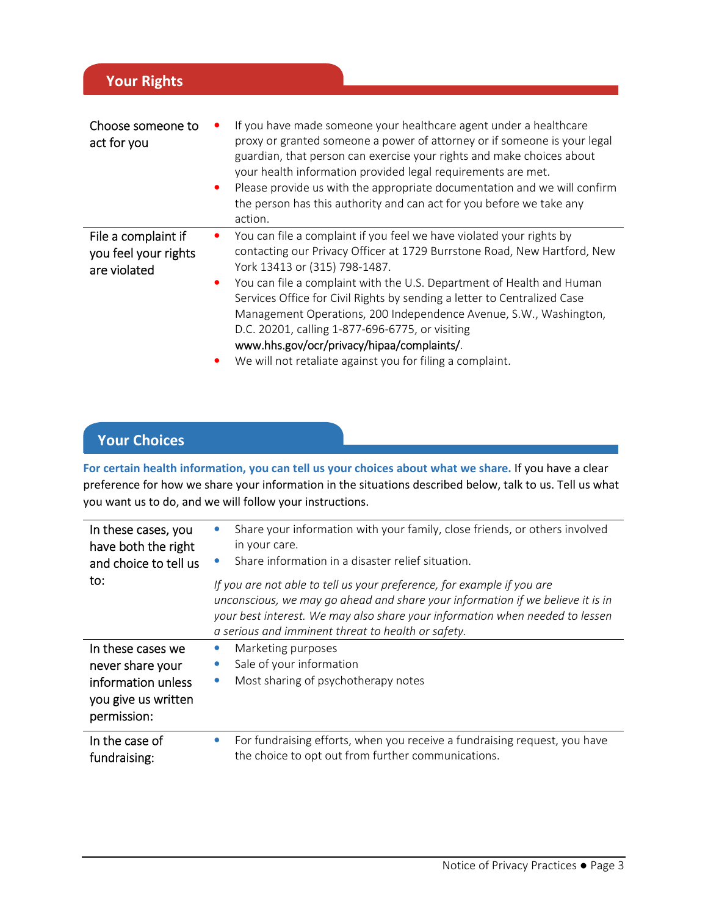| Choose someone to<br>act for you            | If you have made someone your healthcare agent under a healthcare<br>proxy or granted someone a power of attorney or if someone is your legal                  |
|---------------------------------------------|----------------------------------------------------------------------------------------------------------------------------------------------------------------|
|                                             | guardian, that person can exercise your rights and make choices about<br>your health information provided legal requirements are met.                          |
|                                             | Please provide us with the appropriate documentation and we will confirm                                                                                       |
|                                             | the person has this authority and can act for you before we take any<br>action.                                                                                |
| File a complaint if<br>you feel your rights | You can file a complaint if you feel we have violated your rights by<br>contacting our Privacy Officer at 1729 Burrstone Road, New Hartford, New               |
| are violated                                | York 13413 or (315) 798-1487.                                                                                                                                  |
|                                             | You can file a complaint with the U.S. Department of Health and Human<br>$\bullet$<br>Services Office for Civil Rights by sending a letter to Centralized Case |
|                                             | Management Operations, 200 Independence Avenue, S.W., Washington,                                                                                              |
|                                             | D.C. 20201, calling 1-877-696-6775, or visiting                                                                                                                |
|                                             | www.hhs.gov/ocr/privacy/hipaa/complaints/.                                                                                                                     |
|                                             | We will not retaliate against you for filing a complaint.                                                                                                      |

## **Your Choices**

**Your Rights**

**For certain health information, you can tell us your choices about what we share.** If you have a clear preference for how we share your information in the situations described below, talk to us. Tell us what you want us to do, and we will follow your instructions.

| In these cases, you<br>have both the right<br>and choice to tell us | Share your information with your family, close friends, or others involved<br>in your care.<br>Share information in a disaster relief situation.                                                                                                                                               |  |  |
|---------------------------------------------------------------------|------------------------------------------------------------------------------------------------------------------------------------------------------------------------------------------------------------------------------------------------------------------------------------------------|--|--|
| to:                                                                 | If you are not able to tell us your preference, for example if you are<br>unconscious, we may go ahead and share your information if we believe it is in<br>your best interest. We may also share your information when needed to lessen<br>a serious and imminent threat to health or safety. |  |  |
| In these cases we                                                   | Marketing purposes                                                                                                                                                                                                                                                                             |  |  |
| never share your                                                    | Sale of your information<br>$\bullet$                                                                                                                                                                                                                                                          |  |  |
| information unless<br>you give us written<br>permission:            | Most sharing of psychotherapy notes<br>$\bullet$                                                                                                                                                                                                                                               |  |  |
| In the case of<br>fundraising:                                      | For fundraising efforts, when you receive a fundraising request, you have<br>$\bullet$<br>the choice to opt out from further communications.                                                                                                                                                   |  |  |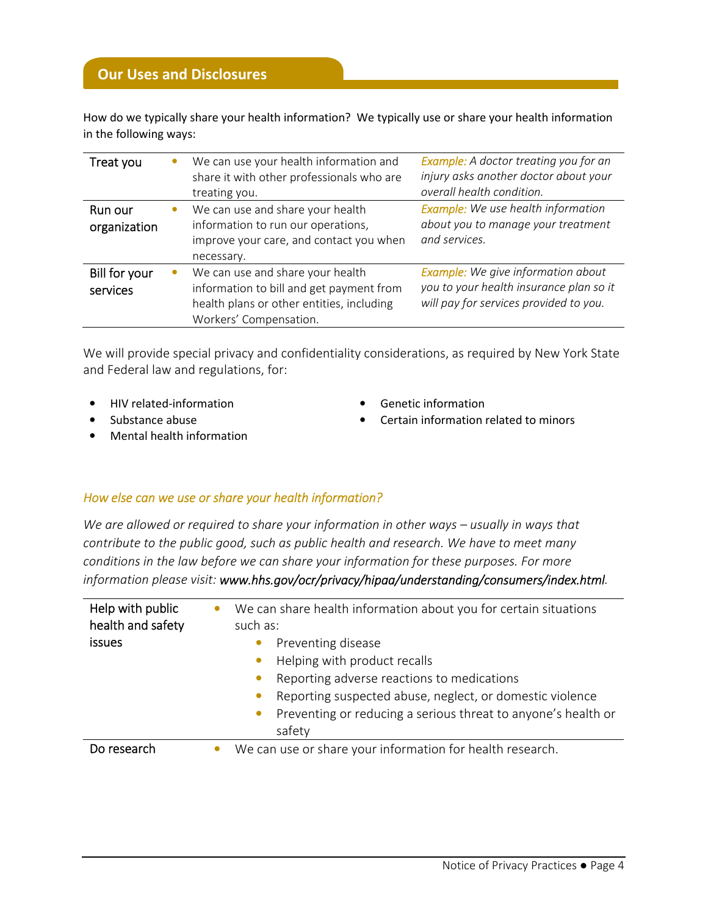How do we typically share your health information? We typically use or share your health information in the following ways:

| Treat you                 | We can use your health information and<br>share it with other professionals who are<br>treating you.                                                | <b>Example:</b> A doctor treating you for an<br>injury asks another doctor about your<br>overall health condition.             |
|---------------------------|-----------------------------------------------------------------------------------------------------------------------------------------------------|--------------------------------------------------------------------------------------------------------------------------------|
| Run our<br>organization   | We can use and share your health<br>information to run our operations,<br>improve your care, and contact you when<br>necessary.                     | <b>Example:</b> We use health information<br>about you to manage your treatment<br>and services.                               |
| Bill for your<br>services | We can use and share your health<br>information to bill and get payment from<br>health plans or other entities, including<br>Workers' Compensation. | <b>Example:</b> We give information about<br>you to your health insurance plan so it<br>will pay for services provided to you. |

We will provide special privacy and confidentiality considerations, as required by New York State and Federal law and regulations, for:

- HIV related-information Genetic information
- 
- Mental health information
- 
- Substance abuse Certain information related to minors

### *How else can we use or share your health information?*

*We are allowed or required to share your information in other ways – usually in ways that contribute to the public good, such as public health and research. We have to meet many conditions in the law before we can share your information for these purposes. For more information please visit: www.hhs.gov/ocr/privacy/hipaa/understanding/consumers/index.html.* 

| Help with public<br>health and safety | We can share health information about you for certain situations<br>such as: |  |  |
|---------------------------------------|------------------------------------------------------------------------------|--|--|
| <b>issues</b>                         | Preventing disease                                                           |  |  |
|                                       | Helping with product recalls<br>$\bullet$                                    |  |  |
|                                       | Reporting adverse reactions to medications                                   |  |  |
|                                       | Reporting suspected abuse, neglect, or domestic violence<br>$\bullet$        |  |  |
|                                       | Preventing or reducing a serious threat to anyone's health or<br>٠           |  |  |
|                                       | safety                                                                       |  |  |
| Do research                           | We can use or share your information for health research.                    |  |  |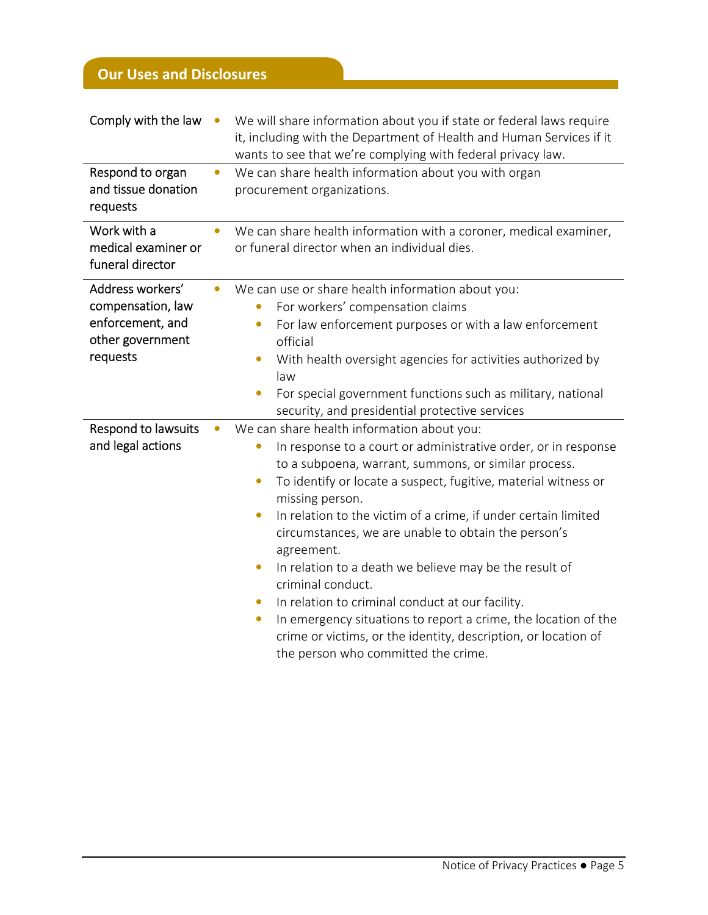# **Our Uses and Disclosures**

| Comply with the law                                                                       | $\bullet$ | We will share information about you if state or federal laws require<br>it, including with the Department of Health and Human Services if it<br>wants to see that we're complying with federal privacy law.                                                                                                                                                                                                                                                                                                                                                                                                                                                                                                                                                                                  |  |  |  |
|-------------------------------------------------------------------------------------------|-----------|----------------------------------------------------------------------------------------------------------------------------------------------------------------------------------------------------------------------------------------------------------------------------------------------------------------------------------------------------------------------------------------------------------------------------------------------------------------------------------------------------------------------------------------------------------------------------------------------------------------------------------------------------------------------------------------------------------------------------------------------------------------------------------------------|--|--|--|
| Respond to organ<br>and tissue donation<br>requests                                       |           | We can share health information about you with organ<br>procurement organizations.                                                                                                                                                                                                                                                                                                                                                                                                                                                                                                                                                                                                                                                                                                           |  |  |  |
| Work with a<br>medical examiner or<br>funeral director                                    |           | We can share health information with a coroner, medical examiner,<br>or funeral director when an individual dies.                                                                                                                                                                                                                                                                                                                                                                                                                                                                                                                                                                                                                                                                            |  |  |  |
| Address workers'<br>compensation, law<br>enforcement, and<br>other government<br>requests |           | We can use or share health information about you:<br>For workers' compensation claims<br>$\bullet$<br>For law enforcement purposes or with a law enforcement<br>$\bullet$<br>official<br>With health oversight agencies for activities authorized by<br>$\bullet$<br>law<br>For special government functions such as military, national<br>$\bullet$<br>security, and presidential protective services                                                                                                                                                                                                                                                                                                                                                                                       |  |  |  |
| Respond to lawsuits<br>and legal actions                                                  |           | We can share health information about you:<br>In response to a court or administrative order, or in response<br>$\bullet$<br>to a subpoena, warrant, summons, or similar process.<br>To identify or locate a suspect, fugitive, material witness or<br>$\bullet$<br>missing person.<br>In relation to the victim of a crime, if under certain limited<br>$\bullet$<br>circumstances, we are unable to obtain the person's<br>agreement.<br>In relation to a death we believe may be the result of<br>$\bullet$<br>criminal conduct.<br>In relation to criminal conduct at our facility.<br>$\bullet$<br>In emergency situations to report a crime, the location of the<br>$\bullet$<br>crime or victims, or the identity, description, or location of<br>the person who committed the crime. |  |  |  |